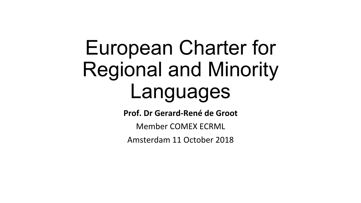# European Charter for Regional and Minority Languages

**Prof. Dr Gerard-René de Groot** 

Member COMEX ECRML

Amsterdam 11 October 2018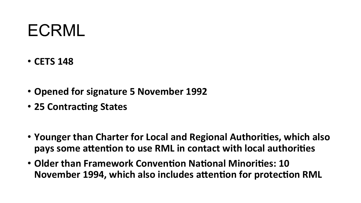### ECRML

- **CETS 148**
- Opened for signature 5 November 1992
- 25 Contracting States
- Younger than Charter for Local and Regional Authorities, which also pays some attention to use RML in contact with local authorities
- Older than Framework Convention National Minorities: 10 **November 1994, which also includes attention for protection RML**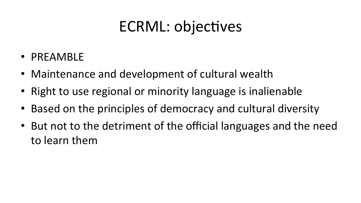#### ECRML: objectives

- PREAMBLE
- Maintenance and development of cultural wealth
- Right to use regional or minority language is inalienable
- Based on the principles of democracy and cultural diversity
- But not to the detriment of the official languages and the need to learn them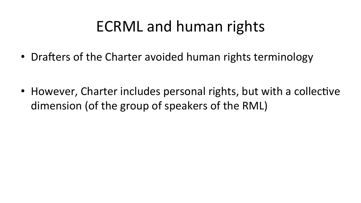#### ECRML and human rights

• Drafters of the Charter avoided human rights terminology

• However, Charter includes personal rights, but with a collective dimension (of the group of speakers of the RML)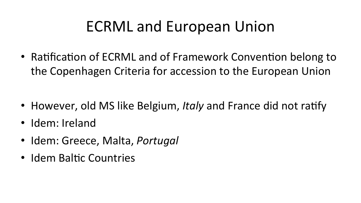#### ECRML and European Union

• Ratification of ECRML and of Framework Convention belong to the Copenhagen Criteria for accession to the European Union

- However, old MS like Belgium, *Italy* and France did not ratify
- Idem: Ireland
- Idem: Greece, Malta, *Portugal*
- Idem Baltic Countries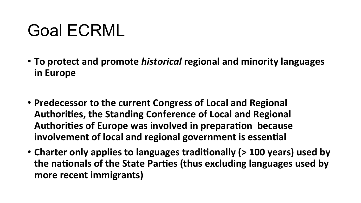### Goal ECRML

- To protect and promote *historical* regional and minority languages **in Europe**
- Predecessor to the current Congress of Local and Regional Authorities, the Standing Conference of Local and Regional Authorities of Europe was involved in preparation because involvement of local and regional government is essential
- Charter only applies to languages traditionally (> 100 years) used by the nationals of the State Parties (thus excluding languages used by more recent immigrants)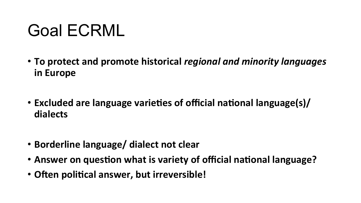### Goal ECRML

- To protect and promote historical *regional and minority languages* **in Europe**
- Excluded are language varieties of official national language(s)/ dialects
- **Borderline language/ dialect not clear**
- Answer on question what is variety of official national language?
- Often political answer, but irreversible!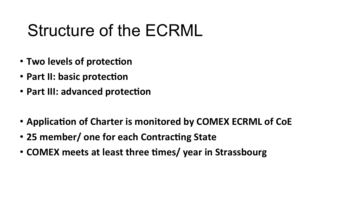### Structure of the ECRML

- Two levels of protection
- Part II: basic protection
- Part III: advanced protection
- Application of Charter is monitored by COMEX ECRML of CoE
- 25 member/ one for each Contracting State
- **COMEX** meets at least three times/ year in Strassbourg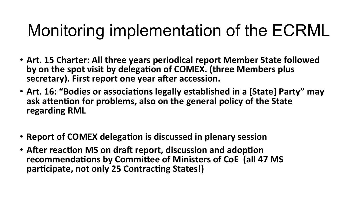# Monitoring implementation of the ECRML

- Art. 15 Charter: All three years periodical report Member State followed by on the spot visit by delegation of COMEX. (three Members plus secretary). First report one year after accession.
- Art. 16: "Bodies or associations legally established in a [State] Party" may ask attention for problems, also on the general policy of the State **regarding RML**
- Report of COMEX delegation is discussed in plenary session
- After reaction MS on draft report, discussion and adoption recommendations by Committee of Ministers of CoE (all 47 MS participate, not only 25 Contracting States!)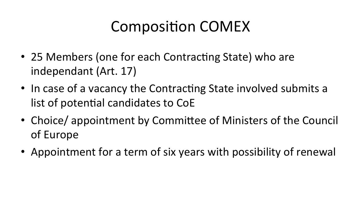#### Composition COMEX

- 25 Members (one for each Contracting State) who are independant (Art. 17)
- In case of a vacancy the Contracting State involved submits a list of potential candidates to CoE
- Choice/ appointment by Committee of Ministers of the Council of Europe
- Appointment for a term of six years with possibility of renewal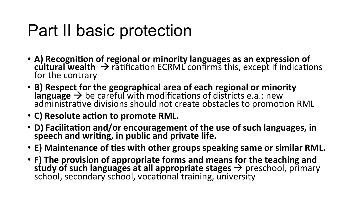### Part II basic protection

- A) Recognition of regional or minority languages as an expression of cultural wealth  $\rightarrow$  ratification ECRML confirms this, except if indications for the contrary
- **B)** Respect for the geographical area of each regional or minority  $\mathsf{language} \rightarrow \mathsf{be}$  careful with modifications of districts e.a.; new administrative divisions should not create obstacles to promotion RML
- C) Resolute action to promote RML.
- D) Facilitation and/or encouragement of the use of such languages, in speech and writing, in public and private life.
- **E**) Maintenance of ties with other groups speaking same or similar RML.
- F) The provision of appropriate forms and means for the teaching and **study of such languages at all appropriate stages →** preschool, primary<br>school, secondary school, vocational training, university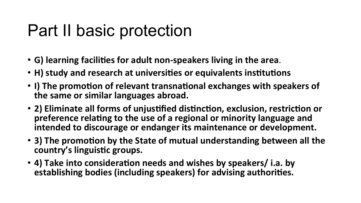### Part II basic protection

- G) learning facilities for adult non-speakers living in the area.
- H) study and research at universities or equivalents institutions
- I) The promotion of relevant transnational exchanges with speakers of the same or similar languages abroad.
- 2) Eliminate all forms of unjustified distinction, exclusion, restriction or preference relating to the use of a regional or minority language and intended to discourage or endanger its maintenance or development.
- 3) The promotion by the State of mutual understanding between all the country's linguistic groups.
- 4) Take into consideration needs and wishes by speakers/ i.a. by **establishing bodies (including speakers) for advising authorities.**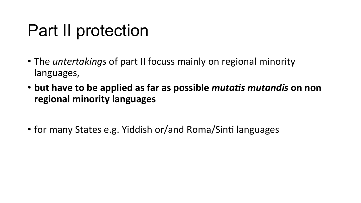### Part II protection

- The *untertakings* of part II focuss mainly on regional minority languages,
- but have to be applied as far as possible *mutatis mutandis* on non **regional minority languages**
- for many States e.g. Yiddish or/and Roma/Sinti languages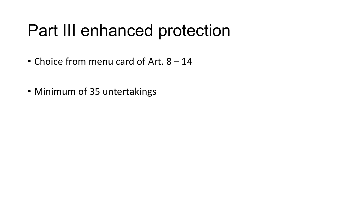### Part III enhanced protection

- Choice from menu card of Art.  $8 14$
- Minimum of 35 untertakings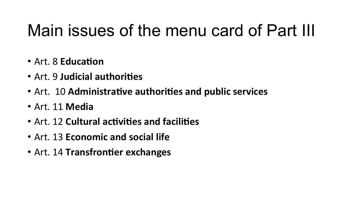### Main issues of the menu card of Part III

- Art. 8 **Education**
- Art. 9 **Judicial authorities**
- Art. 10 **Administrative authorities and public services**
- Art. 11 **Media**
- Art. 12 **Cultural activities and facilities**
- Art. 13 **Economic and social life**
- Art. 14 Transfrontier exchanges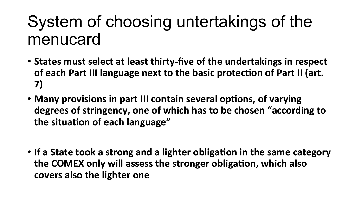#### System of choosing untertakings of the menucard

- States must select at least thirty-five of the undertakings in respect of each Part III language next to the basic protection of Part II (art. **7)**
- Many provisions in part III contain several options, of varying degrees of stringency, one of which has to be chosen "according to the situation of each language"
- If a State took a strong and a lighter obligation in the same category the COMEX only will assess the stronger obligation, which also covers also the lighter one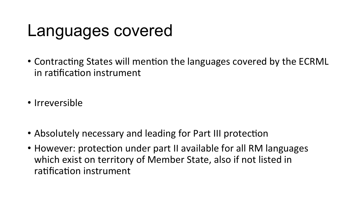#### Languages covered

- Contracting States will mention the languages covered by the ECRML in ratification instrument
- Irreversible
- Absolutely necessary and leading for Part III protection
- However: protection under part II available for all RM languages which exist on territory of Member State, also if not listed in ratification instrument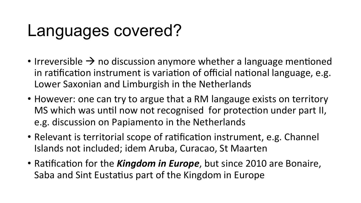### Languages covered?

- Irreversible  $\rightarrow$  no discussion anymore whether a language mentioned in ratification instrument is variation of official national language, e.g. Lower Saxonian and Limburgish in the Netherlands
- However: one can try to argue that a RM langauge exists on territory MS which was until now not recognised for protection under part II, e.g. discussion on Papiamento in the Netherlands
- Relevant is territorial scope of ratification instrument, e.g. Channel Islands not included; idem Aruba, Curacao, St Maarten
- Ratification for the *Kingdom in Europe*, but since 2010 are Bonaire, Saba and Sint Eustatius part of the Kingdom in Europe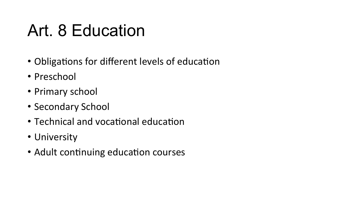- Obligations for different levels of education
- Preschool
- Primary school
- Secondary School
- Technical and vocational education
- University
- Adult continuing education courses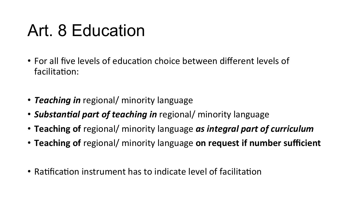- For all five levels of education choice between different levels of facilitation:
- **Teaching in** regional/ minority language
- **Substantial part of teaching in** regional/ minority language
- Teaching of regional/ minority language *as integral part of curriculum*
- **Teaching of** regional/ minority language on request if number sufficient
- Ratification instrument has to indicate level of facilitation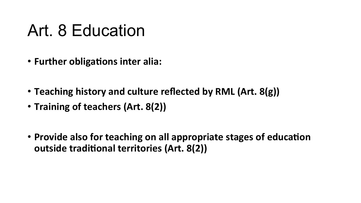- Further obligations inter alia:
- Teaching history and culture reflected by RML (Art. 8(g))
- Training of teachers (Art. 8(2))
- Provide also for teaching on all appropriate stages of education **outside traditional territories (Art. 8(2))**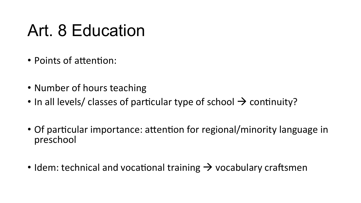- Points of attention:
- Number of hours teaching
- In all levels/ classes of particular type of school  $\rightarrow$  continuity?
- Of particular importance: attention for regional/minority language in preschool
- Idem: technical and vocational training  $\rightarrow$  vocabulary craftsmen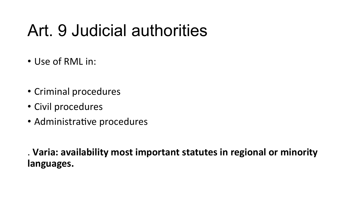# Art. 9 Judicial authorities

- Use of RML in:
- Criminal procedures
- Civil procedures
- Administrative procedures

. Varia: availability most important statutes in regional or minority **languages.**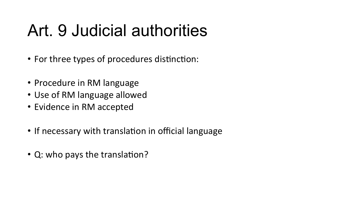# Art. 9 Judicial authorities

- For three types of procedures distinction:
- Procedure in RM language
- Use of RM language allowed
- Evidence in RM accepted
- If necessary with translation in official language
- Q: who pays the translation?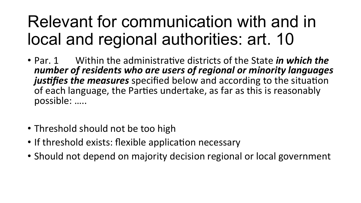# Relevant for communication with and in local and regional authorities: art. 10

- Par. 1 Within the administrative districts of the State *in which the* number of residents who are users of regional or minority languages justifies the measures specified below and according to the situation of each language, the Parties undertake, as far as this is reasonably possible: .....
- Threshold should not be too high
- If threshold exists: flexible application necessary
- Should not depend on majority decision regional or local government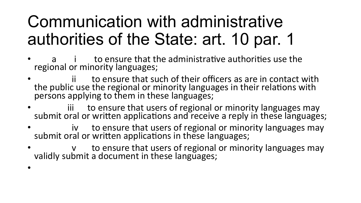# Communication with administrative authorities of the State: art. 10 par. 1

- to ensure that the administrative authorities use the regional or minority languages;
- ii to ensure that such of their officers as are in contact with the public use the regional or minority languages in their relations with persons applying to them in these languages;
- **iii** to ensure that users of regional or minority languages may submit oral or written applications and receive a reply in these languages;
- iv to ensure that users of regional or minority languages may submit oral or written applications in these languages;
- v to ensure that users of regional or minority languages may validly submit a document in these languages;

•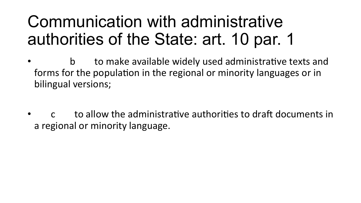### Communication with administrative authorities of the State: art. 10 par. 1

- b to make available widely used administrative texts and forms for the population in the regional or minority languages or in bilingual versions;
- **butable in the administrative authorities to draft documents in** a regional or minority language.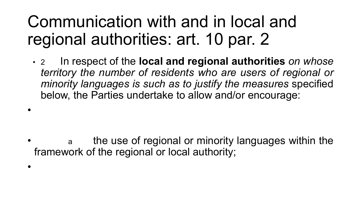### Communication with and in local and regional authorities: art. 10 par. 2

•

•

• 2 In respect of the **local and regional authorities** *on whose territory the number of residents who are users of regional or minority languages is such as to justify the measures* specified below, the Parties undertake to allow and/or encourage:

a the use of regional or minority languages within the framework of the regional or local authority;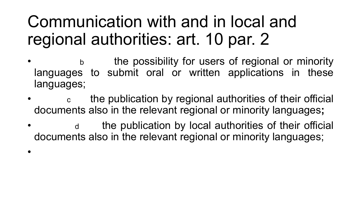### Communication with and in local and regional authorities: art. 10 par. 2

- **b** the possibility for users of regional or minority languages to submit oral or written applications in these languages;
- the publication by regional authorities of their official documents also in the relevant regional or minority languages**;**
- d the publication by local authorities of their official documents also in the relevant regional or minority languages;
- •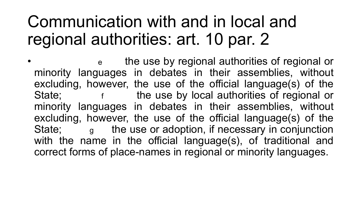### Communication with and in local and regional authorities: art. 10 par. 2

• e the use by regional authorities of regional or minority languages in debates in their assemblies, without excluding, however, the use of the official language(s) of the State; The use by local authorities of regional or minority languages in debates in their assemblies, without excluding, however, the use of the official language(s) of the State; external the use or adoption, if necessary in conjunction with the name in the official language(s), of traditional and correct forms of place-names in regional or minority languages.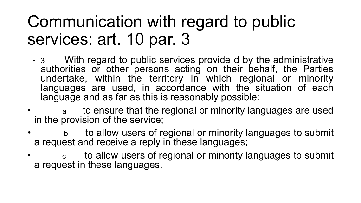### Communication with regard to public services: art. 10 par. 3

- 3 With regard to public services provide d by the administrative <br>authorities or other persons acting on their behalf, the Parties undertake, within the territory in which regional or minority languages are used, in accordance with the situation of each language and as far as this is reasonably possible:
- a to ensure that the regional or minority languages are used in the provision of the service;
- b to allow users of regional or minority languages to submit a request and receive a reply in these languages;
- c to allow users of regional or minority languages to submit a request in these languages.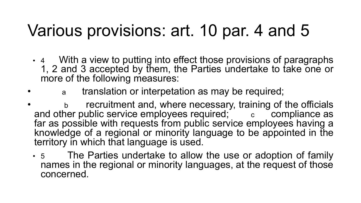### Various provisions: art. 10 par. 4 and 5

- 4 With a view to putting into effect those provisions of paragraphs 1, 2 and 3 accepted by them, the Parties undertake to take one or more of the following measures:
	- a translation or interpetation as may be required;
- b recruitment and, where necessary, training of the officials and other public service employees required;  $\overline{c}$  compliance as far as possible with requests from public service employees having a knowledge of a regional or minority language to be appointed in the territory in which that language is used.
	- 5 The Parties undertake to allow the use or adoption of family names in the regional or minority languages, at the request of those concerned.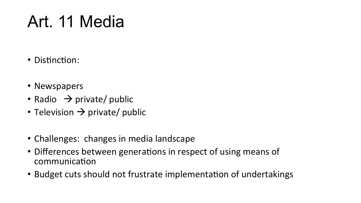### Art. 11 Media

- Distinction:
- Newspapers
- Radio  $\rightarrow$  private/ public
- Television  $\rightarrow$  private/ public
- Challenges: changes in media landscape
- Differences between generations in respect of using means of communication
- Budget cuts should not frustrate implementation of undertakings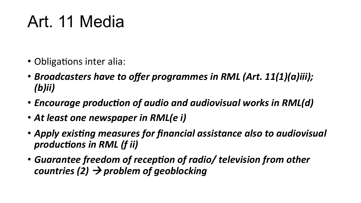### Art. 11 Media

- Obligations inter alia:
- *Broadcasters have to offer programmes in RML (Art. 11(1)(a)iii); (b)ii)*
- *Encourage production of audio and audiovisual works in RML(d)*
- At least one newspaper in RML(e i)
- Apply existing measures for financial assistance also to audiovisual *productions in RML (f ii)*
- Guarantee freedom of reception of radio/ television from other *countries* (2) → problem of geoblocking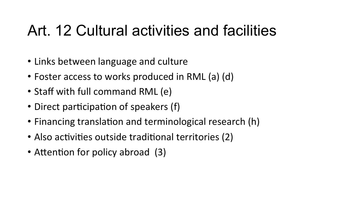#### Art. 12 Cultural activities and facilities

- Links between language and culture
- Foster access to works produced in RML (a) (d)
- Staff with full command RML (e)
- Direct participation of speakers (f)
- Financing translation and terminological research (h)
- Also activities outside traditional territories (2)
- Attention for policy abroad (3)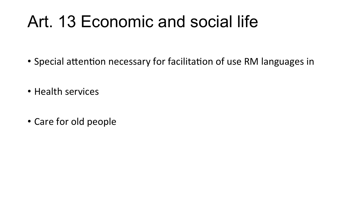### Art. 13 Economic and social life

- Special attention necessary for facilitation of use RM languages in
- Health services
- Care for old people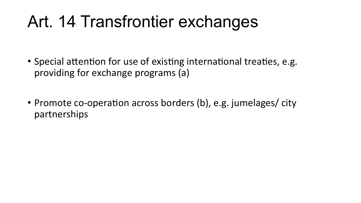### Art. 14 Transfrontier exchanges

- Special attention for use of existing international treaties, e.g. providing for exchange programs (a)
- Promote co-operation across borders (b), e.g. jumelages/ city partnerships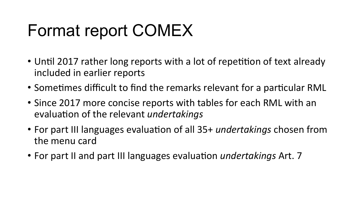# Format report COMEX

- Until 2017 rather long reports with a lot of repetition of text already included in earlier reports
- Sometimes difficult to find the remarks relevant for a particular RML
- Since 2017 more concise reports with tables for each RML with an evaluation of the relevant *undertakings*
- For part III languages evaluation of all 35+ *undertakings* chosen from the menu card
- For part II and part III languages evaluation *undertakings* Art. 7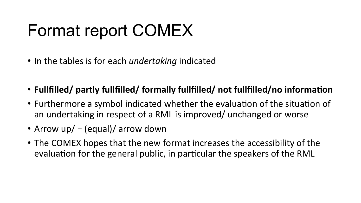# Format report COMEX

- In the tables is for each *undertaking* indicated
- Fullfilled/ partly fullfilled/ formally fullfilled/ not fullfilled/no information
- Furthermore a symbol indicated whether the evaluation of the situation of an undertaking in respect of a RML is improved/ unchanged or worse
- Arrow  $up/ = (equal)/$  arrow down
- The COMEX hopes that the new format increases the accessibility of the evaluation for the general public, in particular the speakers of the RML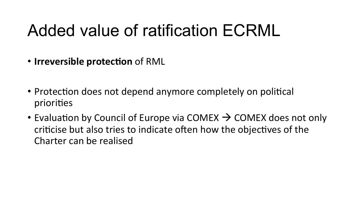### Added value of ratification ECRML

- Irreversible protection of RML
- Protection does not depend anymore completely on political priorities
- Evaluation by Council of Europe via COMEX  $\rightarrow$  COMEX does not only criticise but also tries to indicate often how the objectives of the Charter can be realised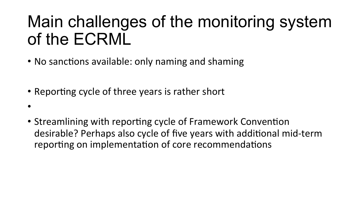## Main challenges of the monitoring system of the ECRML

- No sanctions available: only naming and shaming
- Reporting cycle of three years is rather short
- 
- Streamlining with reporting cycle of Framework Convention desirable? Perhaps also cycle of five years with additional mid-term reporting on implementation of core recommendations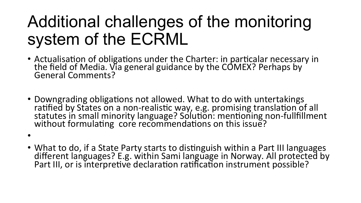# Additional challenges of the monitoring system of the ECRML

- Actualisation of obligations under the Charter: in particalar necessary in the field of Media. Via general guidance by the COMEX? Perhaps by General Comments?
- Downgrading obligations not allowed. What to do with untertakings ratified by States on a non-realistic way, e.g. promising translation of all statutes in small minority language? Solution: mentioning non-fullfillment without formulating core recommendations on this issue?
- 
- What to do, if a State Party starts to distinguish within a Part III languages different languages? E.g. within Sami language in Norway. All protected by Part III, or is interpretive declaration ratification instrument possible?